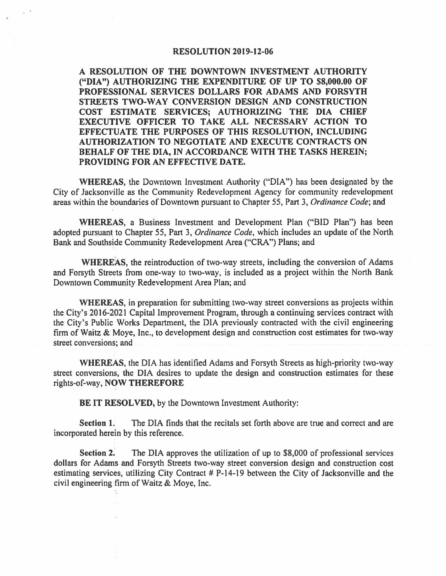## **RESOLUTION 2019-12-06**

**A RESOLUTION OF THE DOWNTOWN INVESTMENT AUTHORITY ("DIA") AUTHORIZING THE EXPENDITURE OF UP TO \$8,000.00 OF PROFESSIONAL SERVICES DOLLARS FOR ADAMS AND FORSYTH STREETS TWO-WAY CONVERSION DESIGN AND CONSTRUCTION COST ESTIMATE SERVICES; AUTHORIZING THE DIA CHIEF EXECUTIVE OFFICER TO TAKE ALL NECESSARY ACTION TO EFFECTUATE THE PURPOSES OF THIS RESOLUTION, INCLUDING AUTHORIZATION TO NEGOTIATE AND EXECUTE CONTRACTS ON BEHALF OF THE DIA, IN ACCORDANCE WITH THE TASKS HEREIN; PROVIDING FOR AN EFFECTIVE DATE.** 

**WHEREAS,** the Downtown Investment Authority ("DIA") has been designated by the City of Jacksonville as the Community Redevelopment Agency for community redevelopment areas within the boundaries of Downtown pursuant to Chapter 55, Part 3, *Ordinance Code;* and

**WHEREAS,** a Business Investment and Development Plan ("BID Plan") has been adopted pursuant to Chapter 55, Part 3, *Ordinance Code*, which includes an update of the North Bank and Southside Community Redevelopment Area ("CRA") Plans; and

WHEREAS, the reintroduction of two-way streets, including the conversion of Adams and Forsyth Streets from one-way to two-way, is included as a project within the North Bank Downtown Community Redevelopment Area Plan; and

**WHEREAS,** in preparation for submitting two-way street conversions as projects within the City's 2016-2021 Capital Improvement Program, through a continuing services contract with the City's Public Works Department, the DIA previously contracted with the civil engineering firm of Waitz & Moye, Inc., to development design and construction cost estimates for two-way street conversions; and

**WHEREAS,** the DIA has identified Adams and Forsyth Streets as high-priority two-way street conversions, the DIA desires to update the design and construction estimates for these rights-of-way, **NOW THEREFORE** 

**BE IT RESOLVED,** by the Downtown Investment Authority:

**Section 1.** The DIA finds that the recitals set forth above are true and correct and are incorporated herein by this reference.

**Section** *2:* The DIA approves the utilization of up to \$8,000 of professional services dollars for Adams and Forsyth Streets two-way street conversion design and construction cost estimating services, utilizing City Contract # P-14-19 between the City of Jacksonville and the civil engineering firm of Waitz & Moye, Inc.